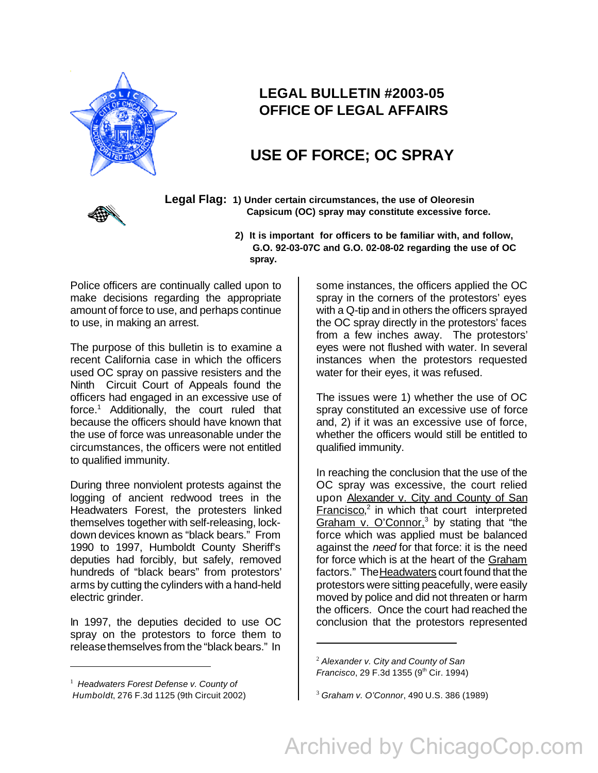

## **LEGAL BULLETIN #2003-05 OFFICE OF LEGAL AFFAIRS**

## **USE OF FORCE; OC SPRAY**



 **Legal Flag: 1) Under certain circumstances, the use of Oleoresin Capsicum (OC) spray may constitute excessive force.**

> **2) It is important for officers to be familiar with, and follow, G.O. 92-03-07C and G.O. 02-08-02 regarding the use of OC spray.**

Police officers are continually called upon to make decisions regarding the appropriate amount of force to use, and perhaps continue to use, in making an arrest.

The purpose of this bulletin is to examine a recent California case in which the officers used OC spray on passive resisters and the Ninth Circuit Court of Appeals found the officers had engaged in an excessive use of force.<sup>1</sup> Additionally, the court ruled that because the officers should have known that the use of force was unreasonable under the circumstances, the officers were not entitled to qualified immunity.

During three nonviolent protests against the logging of ancient redwood trees in the Headwaters Forest, the protesters linked themselves together with self-releasing, lockdown devices known as "black bears." From 1990 to 1997, Humboldt County Sheriff's deputies had forcibly, but safely, removed hundreds of "black bears" from protestors' arms by cutting the cylinders with a hand-held electric grinder.

In 1997, the deputies decided to use OC spray on the protestors to force them to release themselves from the "black bears." In

some instances, the officers applied the OC spray in the corners of the protestors' eyes with a Q-tip and in others the officers sprayed the OC spray directly in the protestors' faces from a few inches away. The protestors' eyes were not flushed with water. In several instances when the protestors requested water for their eyes, it was refused.

The issues were 1) whether the use of OC spray constituted an excessive use of force and, 2) if it was an excessive use of force, whether the officers would still be entitled to qualified immunity.

In reaching the conclusion that the use of the OC spray was excessive, the court relied upon Alexander v. City and County of San Francisco,<sup>2</sup> in which that court interpreted Graham v. O'Connor.<sup>3</sup> by stating that "the force which was applied must be balanced against the *need* for that force: it is the need for force which is at the heart of the Graham factors." The Headwaters court found that the protestors were sitting peacefully, were easily moved by police and did not threaten or harm the officers. Once the court had reached the conclusion that the protestors represented

<sup>1</sup> *Headwaters Forest Defense v. County of Humboldt*, 276 F.3d 1125 (9th Circuit 2002)

<sup>2</sup> *Alexander v. City and County of San Francisco*, 29 F.3d 1355 (9<sup>th</sup> Cir. 1994)

<sup>3</sup> *Graham v. O'Connor*, 490 U.S. 386 (1989)